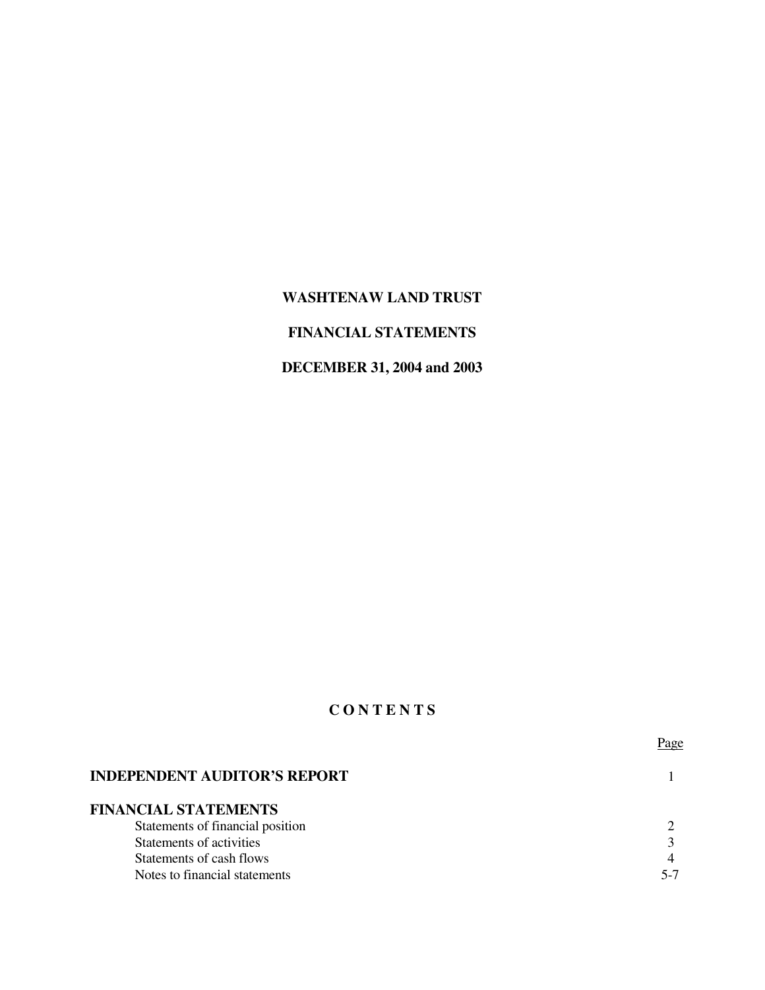# **WASHTENAW LAND TRUST**

# **FINANCIAL STATEMENTS**

# **DECEMBER 31, 2004 and 2003**

## **C O N T E N T S**

|                                     | l ago |
|-------------------------------------|-------|
| <b>INDEPENDENT AUDITOR'S REPORT</b> |       |
| <b>FINANCIAL STATEMENTS</b>         |       |
| Statements of financial position    |       |
| Statements of activities            |       |
| Statements of cash flows            |       |
| Notes to financial statements       | 5-7   |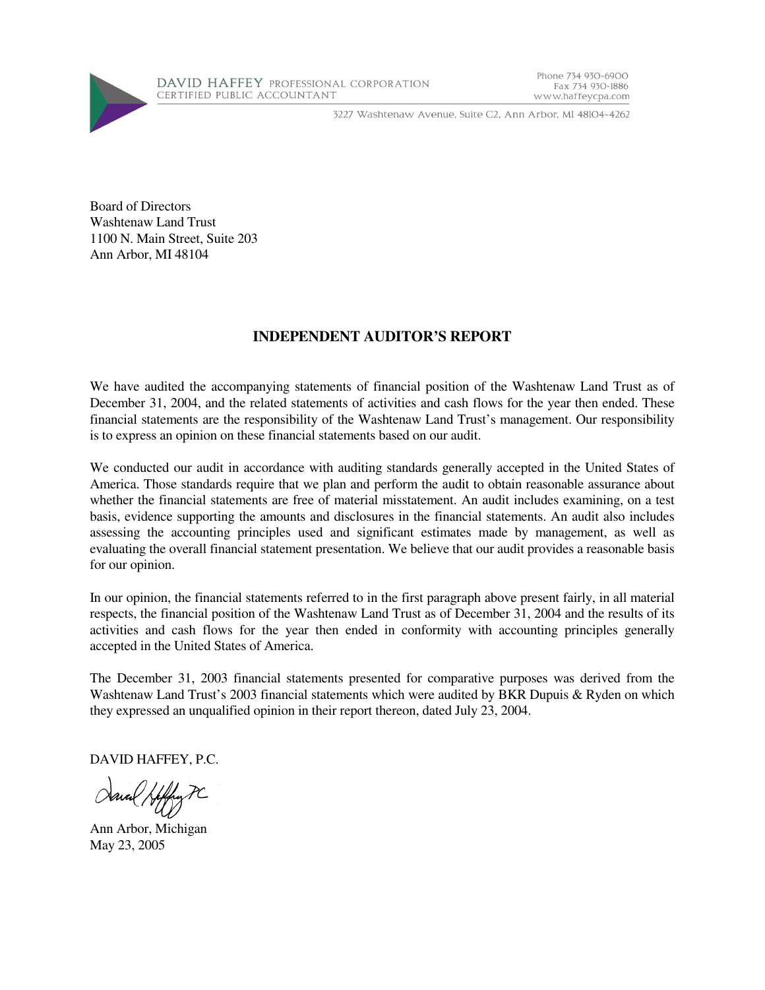

3227 Washtenaw Avenue, Suite C2, Ann Arbor, MI 48104-4262

Phone 734 930-6900

www.haffeycpa.com

Fax 734 930-1886

Board of Directors Washtenaw Land Trust 1100 N. Main Street, Suite 203 Ann Arbor, MI 48104

## **INDEPENDENT AUDITOR'S REPORT**

We have audited the accompanying statements of financial position of the Washtenaw Land Trust as of December 31, 2004, and the related statements of activities and cash flows for the year then ended. These financial statements are the responsibility of the Washtenaw Land Trust's management. Our responsibility is to express an opinion on these financial statements based on our audit.

We conducted our audit in accordance with auditing standards generally accepted in the United States of America. Those standards require that we plan and perform the audit to obtain reasonable assurance about whether the financial statements are free of material misstatement. An audit includes examining, on a test basis, evidence supporting the amounts and disclosures in the financial statements. An audit also includes assessing the accounting principles used and significant estimates made by management, as well as evaluating the overall financial statement presentation. We believe that our audit provides a reasonable basis for our opinion.

In our opinion, the financial statements referred to in the first paragraph above present fairly, in all material respects, the financial position of the Washtenaw Land Trust as of December 31, 2004 and the results of its activities and cash flows for the year then ended in conformity with accounting principles generally accepted in the United States of America.

The December 31, 2003 financial statements presented for comparative purposes was derived from the Washtenaw Land Trust's 2003 financial statements which were audited by BKR Dupuis & Ryden on which they expressed an unqualified opinion in their report thereon, dated July 23, 2004.

DAVID HAFFEY, P.C.

Ann Arbor, Michigan May 23, 2005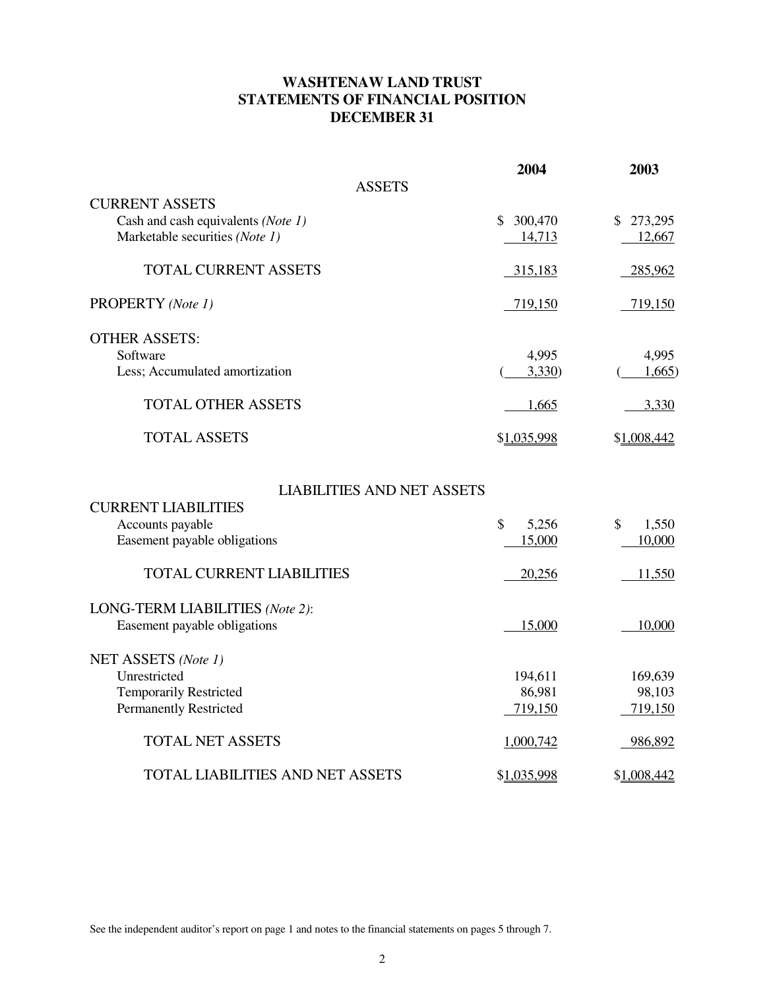# **WASHTENAW LAND TRUST STATEMENTS OF FINANCIAL POSITION DECEMBER 31**

|                                         | 2004                   | 2003        |
|-----------------------------------------|------------------------|-------------|
| <b>ASSETS</b>                           |                        |             |
| <b>CURRENT ASSETS</b>                   |                        |             |
| Cash and cash equivalents (Note 1)      | 300,470<br>\$          | \$273,295   |
| Marketable securities (Note 1)          | 14,713                 | 12,667      |
| <b>TOTAL CURRENT ASSETS</b>             | 315,183                | 285,962     |
| PROPERTY (Note 1)                       | 719,150                | 719,150     |
| <b>OTHER ASSETS:</b>                    |                        |             |
| Software                                | 4,995                  | 4,995       |
| Less; Accumulated amortization          | 3,330                  | 1,665       |
| <b>TOTAL OTHER ASSETS</b>               | 1,665                  | 3,330       |
| <b>TOTAL ASSETS</b>                     | \$1,035,998            | \$1,008,442 |
| <b>LIABILITIES AND NET ASSETS</b>       |                        |             |
| <b>CURRENT LIABILITIES</b>              |                        |             |
| Accounts payable                        | $\mathcal{S}$<br>5,256 | \$<br>1,550 |
| Easement payable obligations            | 15,000                 | 10,000      |
| <b>TOTAL CURRENT LIABILITIES</b>        | 20,256                 | 11,550      |
| LONG-TERM LIABILITIES (Note 2):         |                        |             |
| Easement payable obligations            | 15,000                 | 10,000      |
| NET ASSETS (Note 1)                     |                        |             |
| Unrestricted                            | 194,611                | 169,639     |
| <b>Temporarily Restricted</b>           | 86,981                 | 98,103      |
| <b>Permanently Restricted</b>           | 719,150                | 719,150     |
| <b>TOTAL NET ASSETS</b>                 | 1,000,742              | 986,892     |
| <b>TOTAL LIABILITIES AND NET ASSETS</b> | \$1,035,998            | \$1,008,442 |

See the independent auditor's report on page 1 and notes to the financial statements on pages 5 through 7.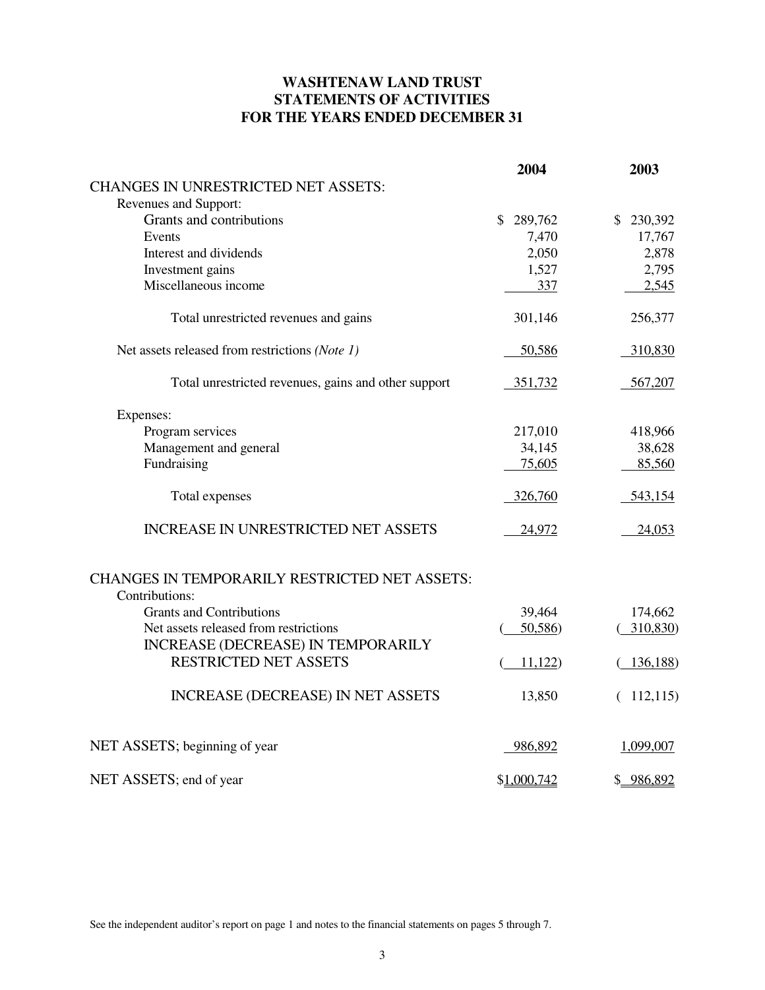# **WASHTENAW LAND TRUST STATEMENTS OF ACTIVITIES FOR THE YEARS ENDED DECEMBER 31**

|                                                      | 2004        | 2003         |
|------------------------------------------------------|-------------|--------------|
| <b>CHANGES IN UNRESTRICTED NET ASSETS:</b>           |             |              |
| Revenues and Support:                                |             |              |
| Grants and contributions                             | \$289,762   | \$230,392    |
| Events                                               | 7,470       | 17,767       |
| Interest and dividends                               | 2,050       | 2,878        |
| Investment gains                                     | 1,527       | 2,795        |
| Miscellaneous income                                 | 337         | 2,545        |
| Total unrestricted revenues and gains                | 301,146     | 256,377      |
| Net assets released from restrictions (Note 1)       | 50,586      | 310,830      |
| Total unrestricted revenues, gains and other support | 351,732     | 567,207      |
| Expenses:                                            |             |              |
| Program services                                     | 217,010     | 418,966      |
| Management and general                               | 34,145      | 38,628       |
| Fundraising                                          | 75,605      | 85,560       |
| Total expenses                                       | 326,760     | 543,154      |
| <b>INCREASE IN UNRESTRICTED NET ASSETS</b>           | 24,972      | 24,053       |
| <b>CHANGES IN TEMPORARILY RESTRICTED NET ASSETS:</b> |             |              |
| Contributions:                                       |             |              |
| <b>Grants and Contributions</b>                      | 39,464      | 174,662      |
| Net assets released from restrictions                | 50,586)     | 310,830)     |
| <b>INCREASE (DECREASE) IN TEMPORARILY</b>            |             |              |
| <b>RESTRICTED NET ASSETS</b>                         | 11,122      | 136,188)     |
| <b>INCREASE (DECREASE) IN NET ASSETS</b>             | 13,850      | 112,115<br>€ |
| NET ASSETS; beginning of year                        | 986,892     | 1,099,007    |
| NET ASSETS; end of year                              | \$1,000,742 | \$986,892    |

See the independent auditor's report on page 1 and notes to the financial statements on pages 5 through 7.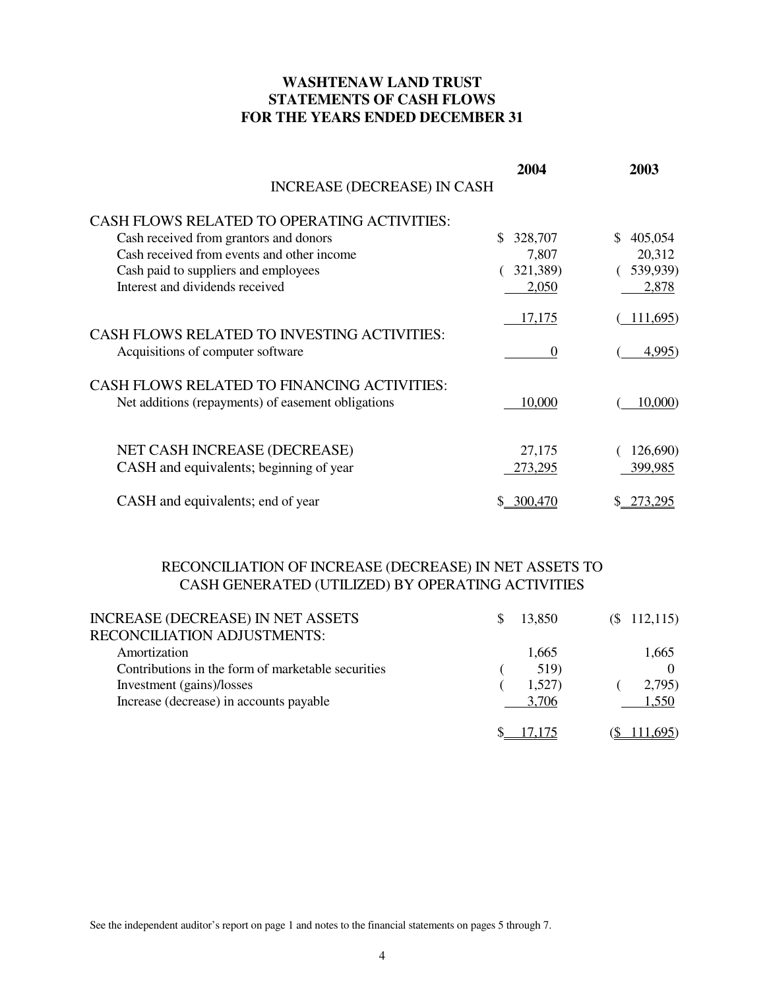## **WASHTENAW LAND TRUST STATEMENTS OF CASH FLOWS FOR THE YEARS ENDED DECEMBER 31**

|                                                                                                          | 2004           | 2003          |
|----------------------------------------------------------------------------------------------------------|----------------|---------------|
| <b>INCREASE (DECREASE) IN CASH</b>                                                                       |                |               |
| <b>CASH FLOWS RELATED TO OPERATING ACTIVITIES:</b>                                                       |                |               |
| Cash received from grantors and donors                                                                   | \$.<br>328,707 | 405,054<br>S. |
| Cash received from events and other income                                                               | 7,807          | 20,312        |
| Cash paid to suppliers and employees                                                                     | 321,389)       | (539,939)     |
| Interest and dividends received                                                                          | 2,050          | 2,878         |
|                                                                                                          | 17,175         | 111,695)      |
| <b>CASH FLOWS RELATED TO INVESTING ACTIVITIES:</b><br>Acquisitions of computer software                  | $\overline{0}$ | 4,995)        |
| <b>CASH FLOWS RELATED TO FINANCING ACTIVITIES:</b><br>Net additions (repayments) of easement obligations | 10,000         | 10,000        |
| NET CASH INCREASE (DECREASE)                                                                             | 27,175         | 126,690)      |
| CASH and equivalents; beginning of year                                                                  | 273,295        | 399,985       |
| CASH and equivalents; end of year                                                                        | 300.470        | 273.295       |

# RECONCILIATION OF INCREASE (DECREASE) IN NET ASSETS TO CASH GENERATED (UTILIZED) BY OPERATING ACTIVITIES

| <b>INCREASE (DECREASE) IN NET ASSETS</b>           | 13.850 | $($ \$ 112,115) |
|----------------------------------------------------|--------|-----------------|
| <b>RECONCILIATION ADJUSTMENTS:</b>                 |        |                 |
| Amortization                                       | 1,665  | 1,665           |
| Contributions in the form of marketable securities | 519)   |                 |
| Investment (gains)/losses                          | 1,527) | 2,795)          |
| Increase (decrease) in accounts payable            | 3.706  | 1,550           |
|                                                    |        |                 |

See the independent auditor's report on page 1 and notes to the financial statements on pages 5 through 7.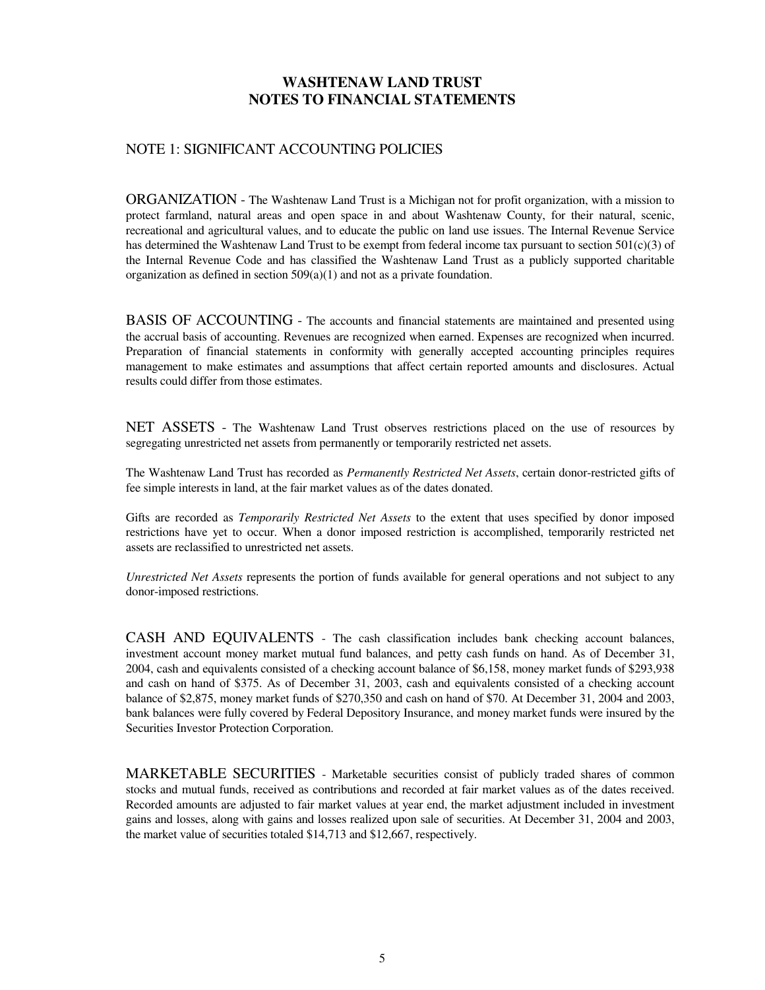## **WASHTENAW LAND TRUST NOTES TO FINANCIAL STATEMENTS**

#### NOTE 1: SIGNIFICANT ACCOUNTING POLICIES

ORGANIZATION - The Washtenaw Land Trust is a Michigan not for profit organization, with a mission to protect farmland, natural areas and open space in and about Washtenaw County, for their natural, scenic, recreational and agricultural values, and to educate the public on land use issues. The Internal Revenue Service has determined the Washtenaw Land Trust to be exempt from federal income tax pursuant to section 501(c)(3) of the Internal Revenue Code and has classified the Washtenaw Land Trust as a publicly supported charitable organization as defined in section 509(a)(1) and not as a private foundation.

BASIS OF ACCOUNTING - The accounts and financial statements are maintained and presented using the accrual basis of accounting. Revenues are recognized when earned. Expenses are recognized when incurred. Preparation of financial statements in conformity with generally accepted accounting principles requires management to make estimates and assumptions that affect certain reported amounts and disclosures. Actual results could differ from those estimates.

NET ASSETS - The Washtenaw Land Trust observes restrictions placed on the use of resources by segregating unrestricted net assets from permanently or temporarily restricted net assets.

The Washtenaw Land Trust has recorded as *Permanently Restricted Net Assets*, certain donor-restricted gifts of fee simple interests in land, at the fair market values as of the dates donated.

Gifts are recorded as *Temporarily Restricted Net Assets* to the extent that uses specified by donor imposed restrictions have yet to occur. When a donor imposed restriction is accomplished, temporarily restricted net assets are reclassified to unrestricted net assets.

*Unrestricted Net Assets* represents the portion of funds available for general operations and not subject to any donor-imposed restrictions.

CASH AND EQUIVALENTS - The cash classification includes bank checking account balances, investment account money market mutual fund balances, and petty cash funds on hand. As of December 31, 2004, cash and equivalents consisted of a checking account balance of \$6,158, money market funds of \$293,938 and cash on hand of \$375. As of December 31, 2003, cash and equivalents consisted of a checking account balance of \$2,875, money market funds of \$270,350 and cash on hand of \$70. At December 31, 2004 and 2003, bank balances were fully covered by Federal Depository Insurance, and money market funds were insured by the Securities Investor Protection Corporation.

MARKETABLE SECURITIES - Marketable securities consist of publicly traded shares of common stocks and mutual funds, received as contributions and recorded at fair market values as of the dates received. Recorded amounts are adjusted to fair market values at year end, the market adjustment included in investment gains and losses, along with gains and losses realized upon sale of securities. At December 31, 2004 and 2003, the market value of securities totaled \$14,713 and \$12,667, respectively.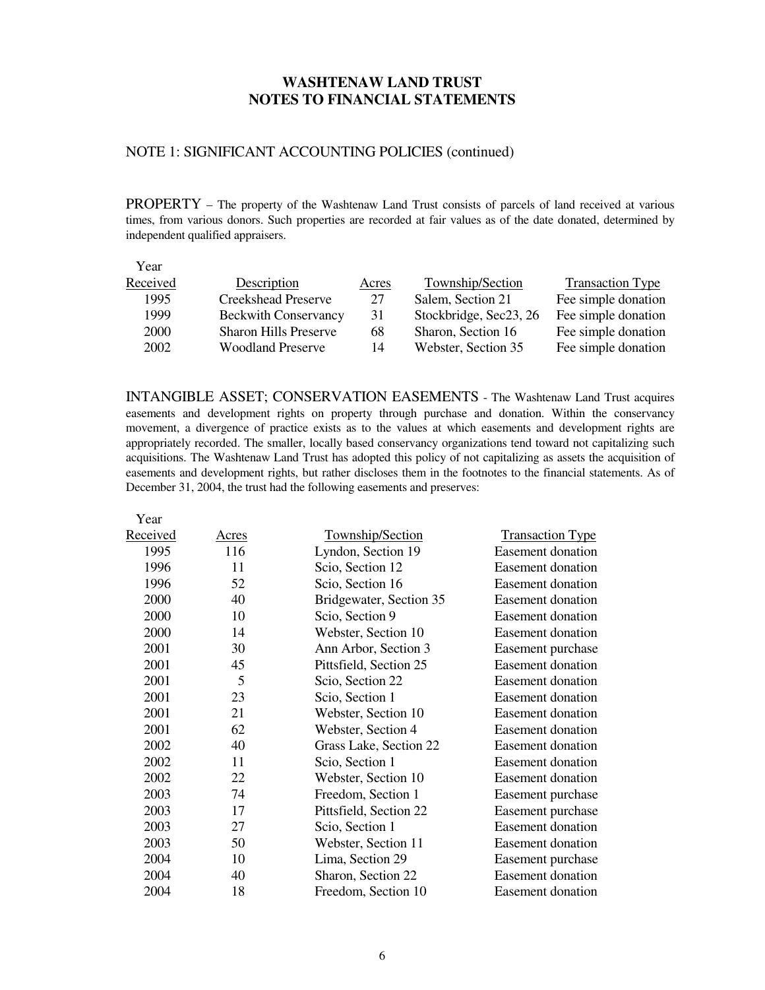## **WASHTENAW LAND TRUST NOTES TO FINANCIAL STATEMENTS**

#### NOTE 1: SIGNIFICANT ACCOUNTING POLICIES (continued)

PROPERTY – The property of the Washtenaw Land Trust consists of parcels of land received at various times, from various donors. Such properties are recorded at fair values as of the date donated, determined by independent qualified appraisers.

| Year     |                              |       |                        |                         |
|----------|------------------------------|-------|------------------------|-------------------------|
| Received | Description                  | Acres | Township/Section       | <b>Transaction Type</b> |
| 1995     | <b>Creekshead Preserve</b>   | 27    | Salem, Section 21      | Fee simple donation     |
| 1999     | <b>Beckwith Conservancy</b>  | 31    | Stockbridge, Sec23, 26 | Fee simple donation     |
| 2000     | <b>Sharon Hills Preserve</b> | 68    | Sharon, Section 16     | Fee simple donation     |
| 2002     | <b>Woodland Preserve</b>     | 14    | Webster, Section 35    | Fee simple donation     |

INTANGIBLE ASSET; CONSERVATION EASEMENTS - The Washtenaw Land Trust acquires easements and development rights on property through purchase and donation. Within the conservancy movement, a divergence of practice exists as to the values at which easements and development rights are appropriately recorded. The smaller, locally based conservancy organizations tend toward not capitalizing such acquisitions. The Washtenaw Land Trust has adopted this policy of not capitalizing as assets the acquisition of easements and development rights, but rather discloses them in the footnotes to the financial statements. As of December 31, 2004, the trust had the following easements and preserves:

| Year     |       |                         |                          |
|----------|-------|-------------------------|--------------------------|
| Received | Acres | Township/Section        | <b>Transaction Type</b>  |
| 1995     | 116   | Lyndon, Section 19      | <b>Easement</b> donation |
| 1996     | 11    | Scio, Section 12        | <b>Easement</b> donation |
| 1996     | 52    | Scio, Section 16        | <b>Easement</b> donation |
| 2000     | 40    | Bridgewater, Section 35 | <b>Easement</b> donation |
| 2000     | 10    | Scio, Section 9         | Easement donation        |
| 2000     | 14    | Webster, Section 10     | Easement donation        |
| 2001     | 30    | Ann Arbor, Section 3    | Easement purchase        |
| 2001     | 45    | Pittsfield, Section 25  | <b>Easement</b> donation |
| 2001     | 5     | Scio, Section 22        | <b>Easement</b> donation |
| 2001     | 23    | Scio, Section 1         | <b>Easement</b> donation |
| 2001     | 21    | Webster, Section 10     | Easement donation        |
| 2001     | 62    | Webster, Section 4      | Easement donation        |
| 2002     | 40    | Grass Lake, Section 22  | Easement donation        |
| 2002     | 11    | Scio, Section 1         | <b>Easement</b> donation |
| 2002     | 22    | Webster, Section 10     | Easement donation        |
| 2003     | 74    | Freedom, Section 1      | Easement purchase        |
| 2003     | 17    | Pittsfield, Section 22  | Easement purchase        |
| 2003     | 27    | Scio, Section 1         | Easement donation        |
| 2003     | 50    | Webster, Section 11     | <b>Easement</b> donation |
| 2004     | 10    | Lima, Section 29        | Easement purchase        |
| 2004     | 40    | Sharon, Section 22      | <b>Easement donation</b> |
| 2004     | 18    | Freedom, Section 10     | <b>Easement</b> donation |